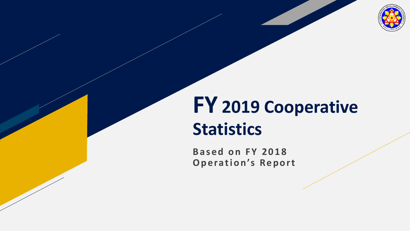

# **FY 2019 Cooperative Statistics**

**Based on FY 2018 Operation's Report**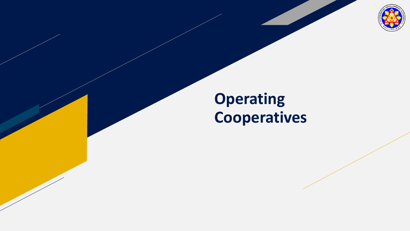

### **Operating Cooperatives**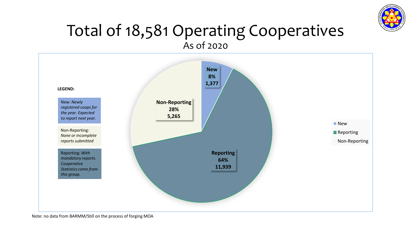

#### Total of 18,581 Operating Cooperatives As of 2020

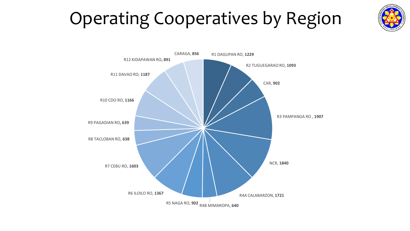## Operating Cooperatives by Region



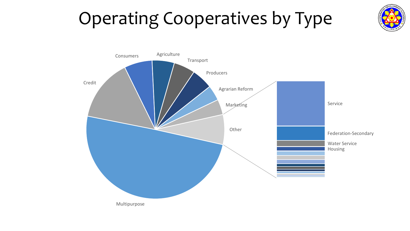## Operating Cooperatives by Type



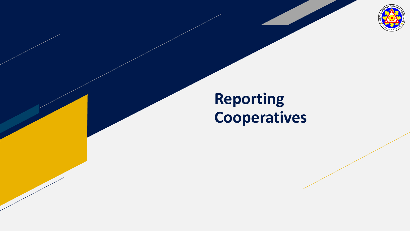

### **Reporting Cooperatives**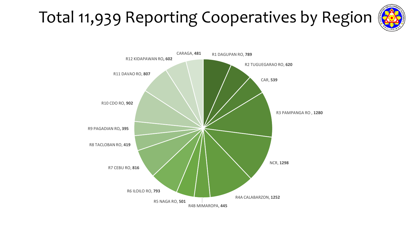## Total 11,939 Reporting Cooperatives by Region



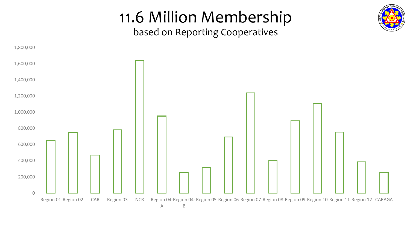

### 11.6 Million Membership

based on Reporting Cooperatives

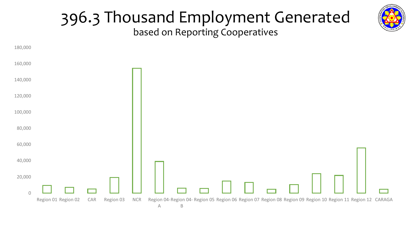

#### 396.3 Thousand Employment Generated based on Reporting Cooperatives

 $\bigcap$ 20,000 40,000 60,000 80,000 100,000 120,000 140,000 160,000 180,000 Region 01 Region 02 CAR Region 03 NCR A Region 04- Region 05 Region 06 Region 07 Region 08 Region 09 Region 10 Region 11 Region 12 CARAGAB